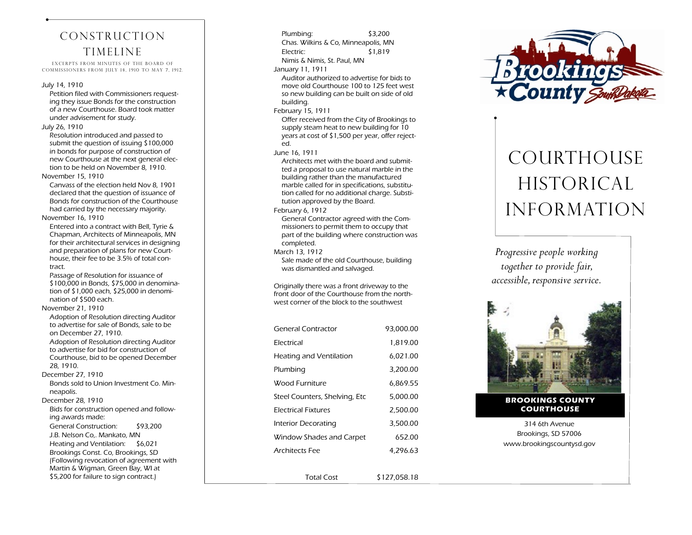# Construction **TIMELINE**

EXCERPTS FROM MINUTES OF THE BOARD OF Commissioners From July 14, 1910 to May 7, 1912.

#### July 14, 1910

Petition filed with Commissioners requesting they issue Bonds for the construction of a new Courthouse. Board took matter under advisement for study.

#### July 26, 1910

Resolution introduced and passed to submit the question of issuing \$100,000 in bonds for purpose of construction of new Courthouse at the next general election to be held on November 8, 1910.

November 15, 1910

Canvass of the election held Nov 8, 1901 declared that the question of issuance of Bonds for construction of the Courthouse had carried by the necessary majority.

#### November 16, 1910

Entered into a contract with Bell, Tyrie & Chapman, Architects of Minneapolis, MN for their architectural services in designing and preparation of plans for new Courthouse, their fee to be 3.5% of total contract.

Passage of Resolution for issuance of \$100,000 in Bonds, \$75,000 in denomination of \$1,000 each, \$25,000 in denomination of \$500 each.

November 21, 1910

Adoption of Resolution directing Auditor to advertise for sale of Bonds, sale to be on December 27, 1910. Adoption of Resolution directing Auditor to advertise for bid for construction of Courthouse, bid to be opened December 28, 1910.

#### December 27, 1910

Bonds sold to Union Investment Co. Minneapolis.

December 28, 1910 Bids for construction opened and following awards made: General Construction: \$93,200 J.B. Nelson Co,. Mankato, MN Heating and Ventilation: \$6,021 Brookings Const. Co, Brookings, SD (Following revocation of agreement with

Martin & Wigman, Green Bay, WI at \$5,200 for failure to sign contract.)

Plumbing: \$3,200 Chas. Wilkins & Co, Minneapolis, MN Electric: \$1,819 Nimis & Nimis, St. Paul, MN January 11, 1911 Auditor authorized to advertise for bids to move old Courthouse 100 to 125 feet west so new building can be built on side of old building. February 15, 1911 Offer received from the City of Brookings to supply steam heat to new building for 10 years at cost of \$1,500 per year, offer rejected. June 16, 1911 Architects met with the board and submitted a proposal to use natural marble in the building rather than the manufactured marble called for in specifications, substitution called for no additional charge. Substitution approved by the Board. February 6, 1912 General Contractor agreed with the Commissioners to permit them to occupy that part of the building where construction was completed. March 13, 1912 Sale made of the old Courthouse, building was dismantled and salvaged. Originally there was a front driveway to the front door of the Courthouse from the northwest corner of the block to the southwest

| General Contractor             | 93,000.00    |
|--------------------------------|--------------|
| <b>Flectrical</b>              | 1,819.00     |
| <b>Heating and Ventilation</b> | 6,021.00     |
| Plumbing                       | 3,200.00     |
| Wood Furniture                 | 6,869.55     |
| Steel Counters, Shelving, Etc  | 5,000.00     |
| <b>Electrical Fixtures</b>     | 2,500.00     |
| Interior Decorating            | 3,500.00     |
| Window Shades and Carpet       | 652.00       |
| <b>Architects Fee</b>          | 4,296.63     |
|                                |              |
| Total Cost                     | \$127.058.18 |



# COURTHOUSE **HISTORICAL** Information

*Progressive people working together to provide fair, accessible, responsive service.*



**BROOKINGS COUNTY COURTHOUSE**

314 6th Avenue Brookings, SD 57006 www.brookingscountysd.gov